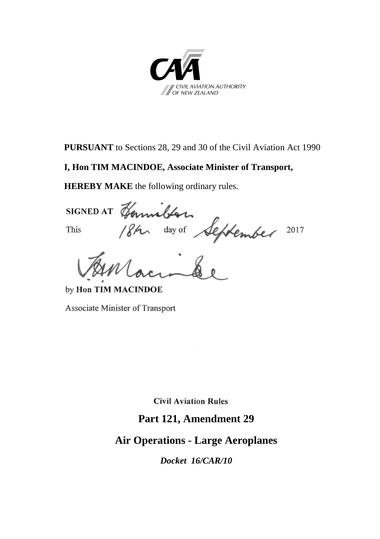

**PURSUANT** to Sections 28, 29 and 30 of the Civil Aviation Act 1990

#### **I, Hon TIM MACINDOE, Associate Minister of Transport,**

HEREBY MAKE the following ordinary rules.<br>SIGNED AT Hannelber<br>This /8km day of September 2017

by Hon TIM MACINDOE

Associate Minister of Transport

**Civil Aviation Rules** 

### **Part 121, Amendment 29**

# **Air Operations - Large Aeroplanes**

*Docket 16/CAR/10*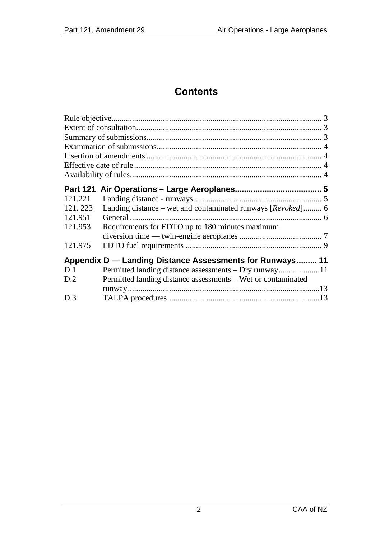### **Contents**

| <b>Part 121</b>                                          |                                                              |  |
|----------------------------------------------------------|--------------------------------------------------------------|--|
| 121.221                                                  |                                                              |  |
| 121.223                                                  | Landing distance – wet and contaminated runways [Revoked] 6  |  |
| 121.951                                                  |                                                              |  |
| 121.953                                                  | Requirements for EDTO up to 180 minutes maximum              |  |
|                                                          |                                                              |  |
| 121.975                                                  |                                                              |  |
| Appendix D — Landing Distance Assessments for Runways 11 |                                                              |  |
| D.1                                                      |                                                              |  |
| D.2                                                      | Permitted landing distance assessments – Wet or contaminated |  |
|                                                          |                                                              |  |
| D.3                                                      |                                                              |  |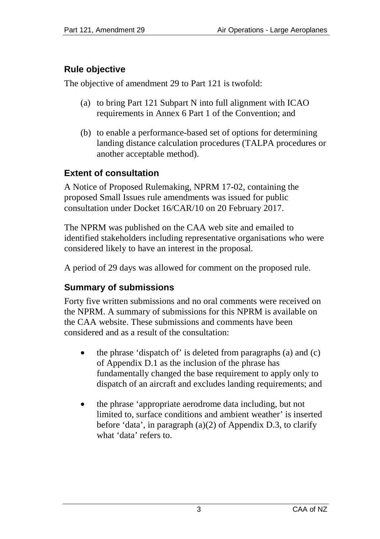## <span id="page-2-0"></span>**Rule objective**

The objective of amendment 29 to Part 121 is twofold:

- (a) to bring Part 121 Subpart N into full alignment with ICAO requirements in Annex 6 Part 1 of the Convention; and
- (b) to enable a performance-based set of options for determining landing distance calculation procedures (TALPA procedures or another acceptable method).

### <span id="page-2-1"></span>**Extent of consultation**

A Notice of Proposed Rulemaking, NPRM 17-02, containing the proposed Small Issues rule amendments was issued for public consultation under Docket 16/CAR/10 on 20 February 2017.

The NPRM was published on the CAA web site and emailed to identified stakeholders including representative organisations who were considered likely to have an interest in the proposal.

A period of 29 days was allowed for comment on the proposed rule.

### <span id="page-2-2"></span>**Summary of submissions**

Forty five written submissions and no oral comments were received on the NPRM. A summary of submissions for this NPRM is available on the CAA website. These submissions and comments have been considered and as a result of the consultation:

- the phrase 'dispatch of' is deleted from paragraphs (a) and (c) of Appendix D.1 as the inclusion of the phrase has fundamentally changed the base requirement to apply only to dispatch of an aircraft and excludes landing requirements; and
- the phrase 'appropriate aerodrome data including, but not limited to, surface conditions and ambient weather' is inserted before 'data', in paragraph (a)(2) of Appendix D.3, to clarify what 'data' refers to.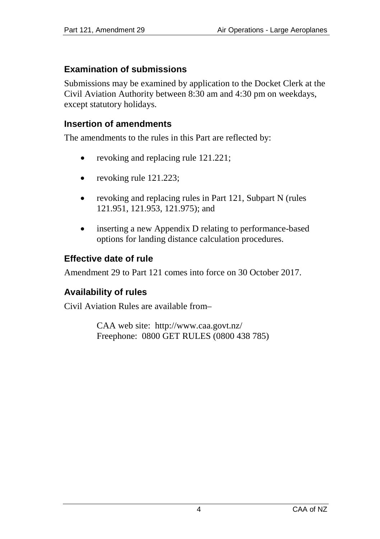### <span id="page-3-0"></span>**Examination of submissions**

Submissions may be examined by application to the Docket Clerk at the Civil Aviation Authority between 8:30 am and 4:30 pm on weekdays, except statutory holidays.

#### <span id="page-3-1"></span>**Insertion of amendments**

The amendments to the rules in this Part are reflected by:

- revoking and replacing rule 121.221;
- revoking rule 121.223;
- revoking and replacing rules in Part 121, Subpart N (rules 121.951, 121.953, 121.975); and
- inserting a new Appendix D relating to performance-based options for landing distance calculation procedures.

### <span id="page-3-2"></span>**Effective date of rule**

Amendment 29 to Part 121 comes into force on 30 October 2017.

### <span id="page-3-3"></span>**Availability of rules**

Civil Aviation Rules are available from–

CAA web site: <http://www.caa.govt.nz/> Freephone: 0800 GET RULES (0800 438 785)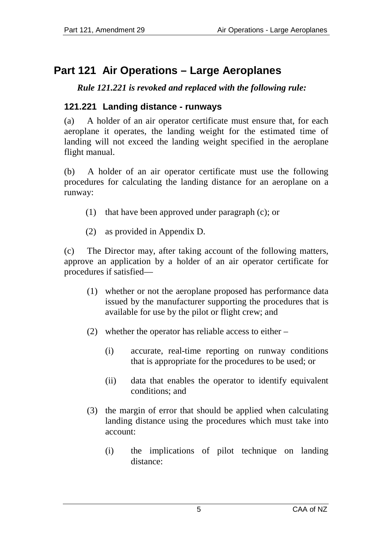# <span id="page-4-0"></span>**Part 121 Air Operations – Large Aeroplanes**

*Rule 121.221 is revoked and replaced with the following rule:*

### <span id="page-4-1"></span>**121.221 Landing distance - runways**

(a) A holder of an air operator certificate must ensure that, for each aeroplane it operates, the landing weight for the estimated time of landing will not exceed the landing weight specified in the aeroplane flight manual.

(b) A holder of an air operator certificate must use the following procedures for calculating the landing distance for an aeroplane on a runway:

- (1) that have been approved under paragraph (c); or
- (2) as provided in Appendix D.

(c) The Director may, after taking account of the following matters, approve an application by a holder of an air operator certificate for procedures if satisfied—

- (1) whether or not the aeroplane proposed has performance data issued by the manufacturer supporting the procedures that is available for use by the pilot or flight crew; and
- (2) whether the operator has reliable access to either
	- (i) accurate, real-time reporting on runway conditions that is appropriate for the procedures to be used; or
	- (ii) data that enables the operator to identify equivalent conditions; and
- (3) the margin of error that should be applied when calculating landing distance using the procedures which must take into account:
	- (i) the implications of pilot technique on landing distance: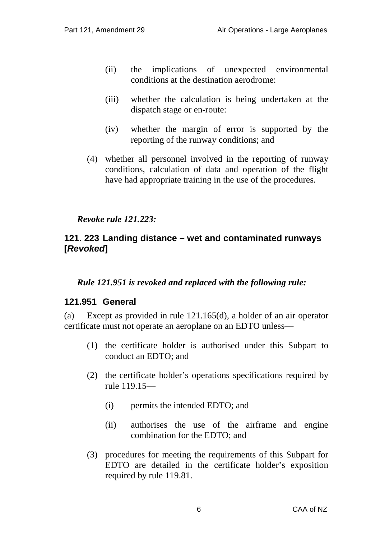- (ii) the implications of unexpected environmental conditions at the destination aerodrome:
- (iii) whether the calculation is being undertaken at the dispatch stage or en-route:
- (iv) whether the margin of error is supported by the reporting of the runway conditions; and
- (4) whether all personnel involved in the reporting of runway conditions, calculation of data and operation of the flight have had appropriate training in the use of the procedures.

#### *Revoke rule 121.223:*

#### <span id="page-5-0"></span>**121. 223 Landing distance – wet and contaminated runways [***Revoked***]**

#### *Rule 121.951 is revoked and replaced with the following rule:*

#### <span id="page-5-1"></span>**121.951 General**

(a) Except as provided in rule 121.165(d), a holder of an air operator certificate must not operate an aeroplane on an EDTO unless—

- (1) the certificate holder is authorised under this Subpart to conduct an EDTO; and
- (2) the certificate holder's operations specifications required by rule 119.15—
	- (i) permits the intended EDTO; and
	- (ii) authorises the use of the airframe and engine combination for the EDTO; and
- (3) procedures for meeting the requirements of this Subpart for EDTO are detailed in the certificate holder's exposition required by rule 119.81.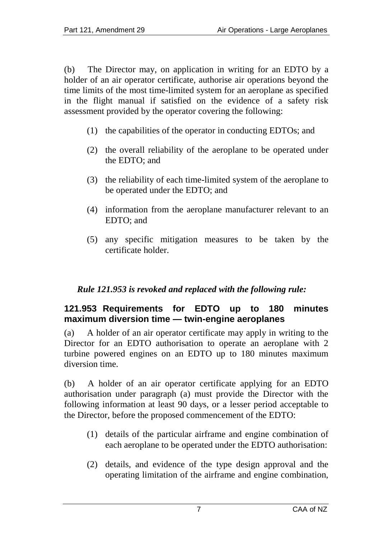(b) The Director may, on application in writing for an EDTO by a holder of an air operator certificate, authorise air operations beyond the time limits of the most time-limited system for an aeroplane as specified in the flight manual if satisfied on the evidence of a safety risk assessment provided by the operator covering the following:

- (1) the capabilities of the operator in conducting EDTOs; and
- (2) the overall reliability of the aeroplane to be operated under the EDTO; and
- (3) the reliability of each time-limited system of the aeroplane to be operated under the EDTO; and
- (4) information from the aeroplane manufacturer relevant to an EDTO; and
- (5) any specific mitigation measures to be taken by the certificate holder.

### *Rule 121.953 is revoked and replaced with the following rule:*

#### <span id="page-6-0"></span>**121.953 Requirements for EDTO up to 180 minutes maximum diversion time — twin-engine aeroplanes**

(a) A holder of an air operator certificate may apply in writing to the Director for an EDTO authorisation to operate an aeroplane with 2 turbine powered engines on an EDTO up to 180 minutes maximum diversion time.

(b) A holder of an air operator certificate applying for an EDTO authorisation under paragraph (a) must provide the Director with the following information at least 90 days, or a lesser period acceptable to the Director, before the proposed commencement of the EDTO:

- (1) details of the particular airframe and engine combination of each aeroplane to be operated under the EDTO authorisation:
- (2) details, and evidence of the type design approval and the operating limitation of the airframe and engine combination,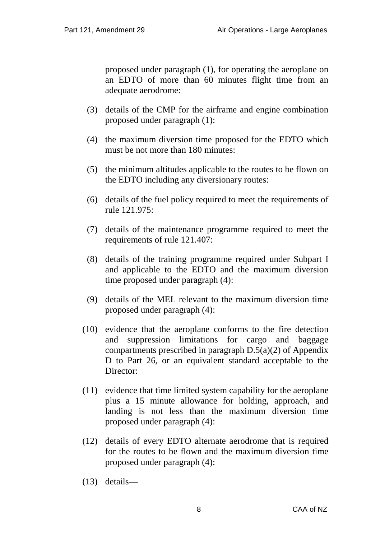proposed under paragraph (1), for operating the aeroplane on an EDTO of more than 60 minutes flight time from an adequate aerodrome:

- (3) details of the CMP for the airframe and engine combination proposed under paragraph (1):
- (4) the maximum diversion time proposed for the EDTO which must be not more than 180 minutes:
- (5) the minimum altitudes applicable to the routes to be flown on the EDTO including any diversionary routes:
- (6) details of the fuel policy required to meet the requirements of rule 121.975:
- (7) details of the maintenance programme required to meet the requirements of rule 121.407:
- (8) details of the training programme required under Subpart I and applicable to the EDTO and the maximum diversion time proposed under paragraph (4):
- (9) details of the MEL relevant to the maximum diversion time proposed under paragraph (4):
- (10) evidence that the aeroplane conforms to the fire detection and suppression limitations for cargo and baggage compartments prescribed in paragraph D.5(a)(2) of Appendix D to Part 26, or an equivalent standard acceptable to the Director:
- (11) evidence that time limited system capability for the aeroplane plus a 15 minute allowance for holding, approach, and landing is not less than the maximum diversion time proposed under paragraph (4):
- (12) details of every EDTO alternate aerodrome that is required for the routes to be flown and the maximum diversion time proposed under paragraph (4):
- (13) details—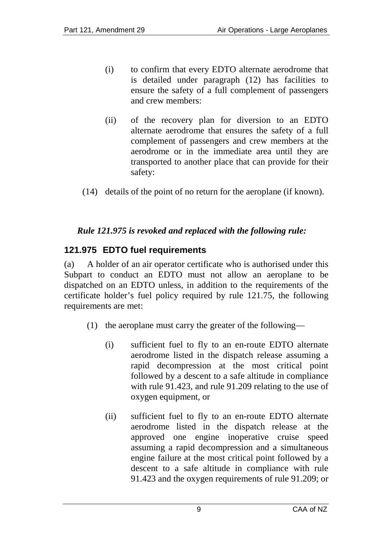- (i) to confirm that every EDTO alternate aerodrome that is detailed under paragraph (12) has facilities to ensure the safety of a full complement of passengers and crew members:
- (ii) of the recovery plan for diversion to an EDTO alternate aerodrome that ensures the safety of a full complement of passengers and crew members at the aerodrome or in the immediate area until they are transported to another place that can provide for their safety:
- (14) details of the point of no return for the aeroplane (if known).

#### *Rule 121.975 is revoked and replaced with the following rule:*

#### <span id="page-8-0"></span>**121.975 EDTO fuel requirements**

(a) A holder of an air operator certificate who is authorised under this Subpart to conduct an EDTO must not allow an aeroplane to be dispatched on an EDTO unless, in addition to the requirements of the certificate holder's fuel policy required by rule 121.75, the following requirements are met:

- (1) the aeroplane must carry the greater of the following—
	- (i) sufficient fuel to fly to an en-route EDTO alternate aerodrome listed in the dispatch release assuming a rapid decompression at the most critical point followed by a descent to a safe altitude in compliance with rule 91.423, and rule 91.209 relating to the use of oxygen equipment, or
	- (ii) sufficient fuel to fly to an en-route EDTO alternate aerodrome listed in the dispatch release at the approved one engine inoperative cruise speed assuming a rapid decompression and a simultaneous engine failure at the most critical point followed by a descent to a safe altitude in compliance with rule 91.423 and the oxygen requirements of rule 91.209; or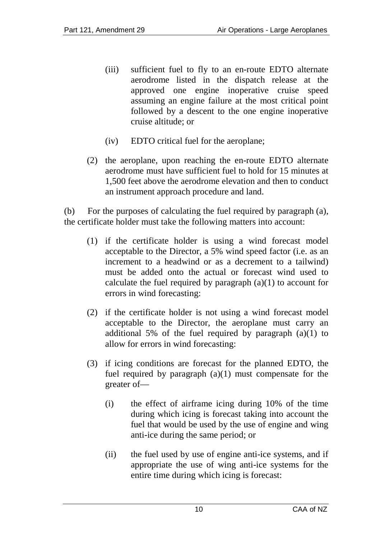- (iii) sufficient fuel to fly to an en-route EDTO alternate aerodrome listed in the dispatch release at the approved one engine inoperative cruise speed assuming an engine failure at the most critical point followed by a descent to the one engine inoperative cruise altitude; or
- (iv) EDTO critical fuel for the aeroplane;
- (2) the aeroplane, upon reaching the en-route EDTO alternate aerodrome must have sufficient fuel to hold for 15 minutes at 1,500 feet above the aerodrome elevation and then to conduct an instrument approach procedure and land.

(b) For the purposes of calculating the fuel required by paragraph (a), the certificate holder must take the following matters into account:

- (1) if the certificate holder is using a wind forecast model acceptable to the Director, a 5% wind speed factor (i.e. as an increment to a headwind or as a decrement to a tailwind) must be added onto the actual or forecast wind used to calculate the fuel required by paragraph  $(a)(1)$  to account for errors in wind forecasting:
- (2) if the certificate holder is not using a wind forecast model acceptable to the Director, the aeroplane must carry an additional 5% of the fuel required by paragraph (a)(1) to allow for errors in wind forecasting:
- (3) if icing conditions are forecast for the planned EDTO, the fuel required by paragraph  $(a)(1)$  must compensate for the greater of—
	- (i) the effect of airframe icing during 10% of the time during which icing is forecast taking into account the fuel that would be used by the use of engine and wing anti-ice during the same period; or
	- (ii) the fuel used by use of engine anti-ice systems, and if appropriate the use of wing anti-ice systems for the entire time during which icing is forecast: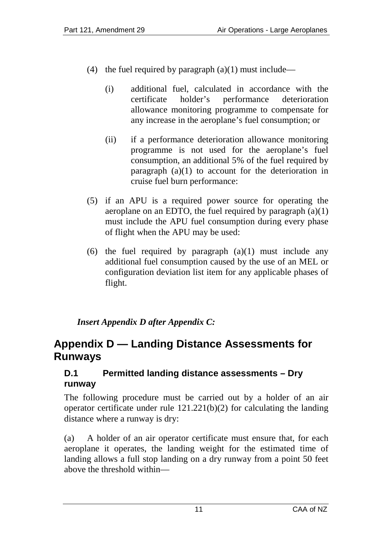- (4) the fuel required by paragraph  $(a)(1)$  must include—
	- (i) additional fuel, calculated in accordance with the certificate holder's performance deterioration allowance monitoring programme to compensate for any increase in the aeroplane's fuel consumption; or
	- (ii) if a performance deterioration allowance monitoring programme is not used for the aeroplane's fuel consumption, an additional 5% of the fuel required by paragraph (a)(1) to account for the deterioration in cruise fuel burn performance:
- (5) if an APU is a required power source for operating the aeroplane on an EDTO, the fuel required by paragraph  $(a)(1)$ must include the APU fuel consumption during every phase of flight when the APU may be used:
- (6) the fuel required by paragraph  $(a)(1)$  must include any additional fuel consumption caused by the use of an MEL or configuration deviation list item for any applicable phases of flight.

### *Insert Appendix D after Appendix C:*

# <span id="page-10-0"></span>**Appendix D — Landing Distance Assessments for Runways**

### <span id="page-10-1"></span>**D.1 Permitted landing distance assessments – Dry runway**

The following procedure must be carried out by a holder of an air operator certificate under rule 121.221(b)(2) for calculating the landing distance where a runway is dry:

(a) A holder of an air operator certificate must ensure that, for each aeroplane it operates, the landing weight for the estimated time of landing allows a full stop landing on a dry runway from a point 50 feet above the threshold within—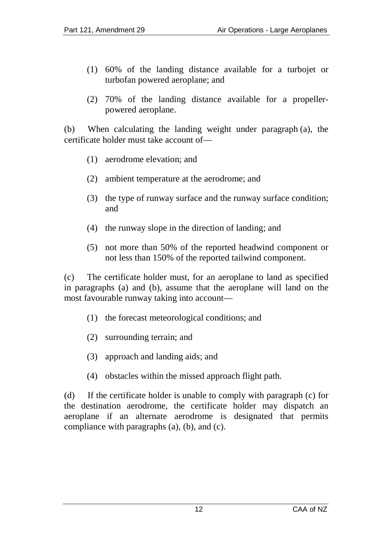- (1) 60% of the landing distance available for a turbojet or turbofan powered aeroplane; and
- (2) 70% of the landing distance available for a propellerpowered aeroplane.

(b) When calculating the landing weight under paragraph (a), the certificate holder must take account of—

- (1) aerodrome elevation; and
- (2) ambient temperature at the aerodrome; and
- (3) the type of runway surface and the runway surface condition; and
- (4) the runway slope in the direction of landing; and
- (5) not more than 50% of the reported headwind component or not less than 150% of the reported tailwind component.

(c) The certificate holder must, for an aeroplane to land as specified in paragraphs (a) and (b), assume that the aeroplane will land on the most favourable runway taking into account—

- (1) the forecast meteorological conditions; and
- (2) surrounding terrain; and
- (3) approach and landing aids; and
- (4) obstacles within the missed approach flight path.

(d) If the certificate holder is unable to comply with paragraph (c) for the destination aerodrome, the certificate holder may dispatch an aeroplane if an alternate aerodrome is designated that permits compliance with paragraphs (a), (b), and (c).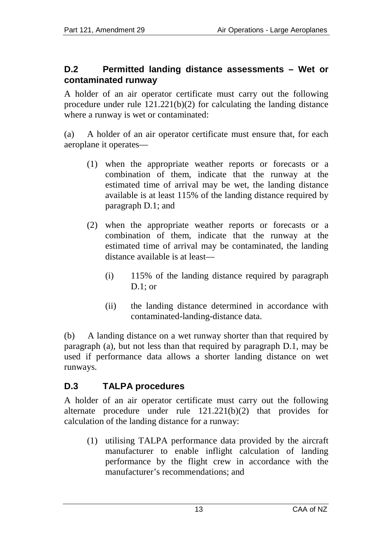#### <span id="page-12-0"></span>**D.2 Permitted landing distance assessments – Wet or contaminated runway**

A holder of an air operator certificate must carry out the following procedure under rule 121.221(b)(2) for calculating the landing distance where a runway is wet or contaminated:

(a) A holder of an air operator certificate must ensure that, for each aeroplane it operates—

- (1) when the appropriate weather reports or forecasts or a combination of them, indicate that the runway at the estimated time of arrival may be wet, the landing distance available is at least 115% of the landing distance required by paragraph D.1; and
- (2) when the appropriate weather reports or forecasts or a combination of them, indicate that the runway at the estimated time of arrival may be contaminated, the landing distance available is at least—
	- (i) 115% of the landing distance required by paragraph  $D.1$ : or
	- (ii) the landing distance determined in accordance with contaminated-landing-distance data.

(b) A landing distance on a wet runway shorter than that required by paragraph (a), but not less than that required by paragraph D.1, may be used if performance data allows a shorter landing distance on wet runways.

### <span id="page-12-1"></span>**D.3 TALPA procedures**

A holder of an air operator certificate must carry out the following alternate procedure under rule 121.221(b)(2) that provides for calculation of the landing distance for a runway:

(1) utilising TALPA performance data provided by the aircraft manufacturer to enable inflight calculation of landing performance by the flight crew in accordance with the manufacturer's recommendations; and